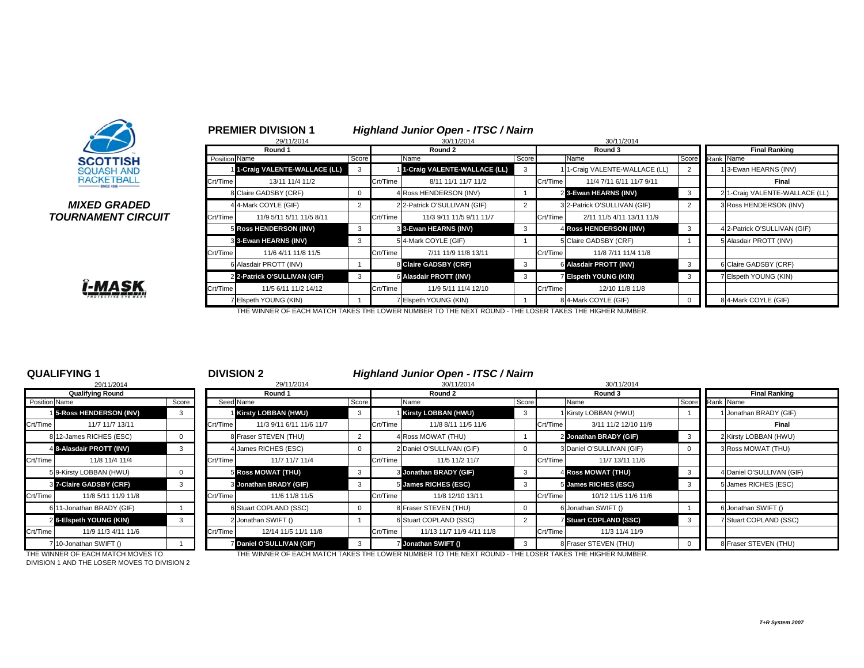

### *MIXED GRADEDTOURNAMENT CIRCUIT*



|              |                      | 29/11/2014                   |       |          | 30/11/2014                   |       |          | 30/11/2014                    |                |           |                                |
|--------------|----------------------|------------------------------|-------|----------|------------------------------|-------|----------|-------------------------------|----------------|-----------|--------------------------------|
|              |                      | Round 1                      |       |          | Round 2                      |       |          | Round 3                       |                |           | <b>Final Ranking</b>           |
|              | <b>Position Name</b> |                              | Score |          | Name                         | Score |          | Name                          | Score          | Rank Name |                                |
|              |                      | 1-Craig VALENTE-WALLACE (LL) | 3     |          | 1-Craig VALENTE-WALLACE (LL) | 3     |          | 11-Craig VALENTE-WALLACE (LL) | $\overline{2}$ |           | 13-Ewan HEARNS (INV)           |
|              | Crt/Time             | 13/11 11/4 11/2              |       | Crt/Time | 8/11 11/1 11/7 11/2          |       | Crt/Time | 11/4 7/11 6/11 11/7 9/11      |                |           | Final                          |
|              |                      | 8 Claire GADSBY (CRF)        |       |          | 4 Ross HENDERSON (INV)       |       |          | 2 3-Ewan HEARNS (INV)         | 3              |           | 2 1-Craig VALENTE-WALLACE (LL) |
| D            |                      | 4 4-Mark COYLE (GIF)         |       |          | 2 2-Patrick O'SULLIVAN (GIF) |       |          | 3 2-Patrick O'SULLIVAN (GIF)  | $\overline{2}$ |           | 3 Ross HENDERSON (INV)         |
| <b>?CUIT</b> | Crt/Time             | 11/9 5/11 5/11 11/5 8/11     |       | Crt/Time | 11/3 9/11 11/5 9/11 11/7     |       | Crt/Time | 2/11 11/5 4/11 13/11 11/9     |                |           |                                |
|              |                      | 5 Ross HENDERSON (INV)       | 3     |          | 3 3-Ewan HEARNS (INV)        | 3     |          | 4 Ross HENDERSON (INV)        | 3              |           | 4 2-Patrick O'SULLIVAN (GIF)   |
|              |                      | 3 3-Ewan HEARNS (INV)        |       |          | 5 4-Mark COYLE (GIF)         |       |          | 5 Claire GADSBY (CRF)         |                |           | 5 Alasdair PROTT (INV)         |
|              | Crt/Time             | 11/6 4/11 11/8 11/5          |       | Crt/Time | 7/11 11/9 11/8 13/11         |       | Crt/Time | 11/8 7/11 11/4 11/8           |                |           |                                |
|              |                      | 6 Alasdair PROTT (INV)       |       |          | 8 Claire GADSBY (CRF)        | 3     |          | 6 Alasdair PROTT (INV)        | 3              |           | 6 Claire GADSBY (CRF)          |
|              |                      | 2 2-Patrick O'SULLIVAN (GIF) | 3     |          | 6 Alasdair PROTT (INV)       | 3     |          | <b>Z</b> Elspeth YOUNG (KIN)  | 3              |           | 7 Elspeth YOUNG (KIN)          |
|              | Crt/Time             | 11/5 6/11 11/2 14/12         |       | Crt/Time | 11/9 5/11 11/4 12/10         |       | Crt/Time | 12/10 11/8 11/8               |                |           |                                |
|              |                      | 7 Elspeth YOUNG (KIN)        |       |          | 7 Elspeth YOUNG (KIN)        |       |          | 84-Mark COYLE (GIF)           |                |           | 8 4-Mark COYLE (GIF)           |

## **PREMIER DIVISION 1** *Highland Junior Open - ITSC / Nairn*

THE WINNER OF EACH MATCH TAKES THE LOWER NUMBER TO THE NEXT ROUND - THE LOSER TAKES THE HIGHER NUMBER.

## **QUALIFYING 1**

|                      | 29/11/2014                        |          |          |
|----------------------|-----------------------------------|----------|----------|
|                      | <b>Qualifying Round</b>           |          |          |
| <b>Position Name</b> |                                   | Score    | Seec     |
|                      | 15-Ross HENDERSON (INV)           | 3        |          |
| Crt/Time             | 11/7 11/7 13/11                   |          | Crt/Time |
|                      | 8 12-James RICHES (ESC)           | $\Omega$ | ξ        |
|                      | 4 8-Alasdair PROTT (INV)          | 3        |          |
| Crt/Time             | 11/8 11/4 11/4                    |          | Crt/Time |
|                      | 5 9-Kirsty LOBBAN (HWU)           | 0        |          |
|                      | 87-Claire GADSBY (CRF)            | 3        |          |
| Crt/Time             | 11/8 5/11 11/9 11/8               |          | Crt/Time |
|                      | 6 11-Jonathan BRADY (GIF)         |          |          |
|                      | 26-Elspeth YOUNG (KIN)            | 3        |          |
| Crt/Time             | 11/9 11/3 4/11 11/6               |          | Crt/Time |
|                      | 710-Jonathan SWIFT ()             |          |          |
|                      | THE WINNER OF EACH MATCH MOVES TO |          |          |

## <sup>1</sup> **DIVISION 2** *Highland Junior Open - ITSC / Nairn*

|               | 29/11/2014                        |          |          | 29/11/2014                |              |          | 30/11/2014                                                                                             |       |          | 30/11/2014                |                 |                           |
|---------------|-----------------------------------|----------|----------|---------------------------|--------------|----------|--------------------------------------------------------------------------------------------------------|-------|----------|---------------------------|-----------------|---------------------------|
|               | <b>Qualifying Round</b>           |          |          | Round 1                   |              |          | Round 2                                                                                                |       |          | Round 3                   |                 | <b>Final Ranking</b>      |
| Position Name |                                   | Score    |          | Seed Name                 | Score        |          | Name                                                                                                   | Score |          | Name                      | Score Rank Name |                           |
|               | 15-Ross HENDERSON (INV)           | 3        |          | Kirsty LOBBAN (HWU)       | $\mathbf{3}$ |          | <b>Kirsty LOBBAN (HWU)</b>                                                                             |       |          | 1 Kirsty LOBBAN (HWU)     |                 | 1 Jonathan BRADY (GIF)    |
| Crt/Time      | 11/7 11/7 13/11                   |          | Crt/Time | 11/3 9/11 6/11 11/6 11/7  |              | Crt/Time | 11/8 8/11 11/5 11/6                                                                                    |       | Crt/Time | 3/11 11/2 12/10 11/9      |                 | Final                     |
|               | 812-James RICHES (ESC)            |          |          | 8 Fraser STEVEN (THU)     |              |          | 4 Ross MOWAT (THU)                                                                                     |       |          | 2 Jonathan BRADY (GIF)    |                 | 2 Kirsty LOBBAN (HWU)     |
|               | 4 8-Alasdair PROTT (INV)          |          |          | 4 James RICHES (ESC)      |              |          | 2 Daniel O'SULLIVAN (GIF)                                                                              |       |          | 3 Daniel O'SULLIVAN (GIF) |                 | 3 Ross MOWAT (THU)        |
| Crt/Time      | 11/8 11/4 11/4                    |          | Crt/Time | 11/7 11/7 11/4            |              | Crt/Time | 11/5 11/2 11/7                                                                                         |       | Crt/Time | 11/7 13/11 11/6           |                 |                           |
|               | 59-Kirsty LOBBAN (HWU)            | $\Omega$ |          | 5 Ross MOWAT (THU)        | -3           |          | 3 Jonathan BRADY (GIF)                                                                                 |       |          | 4 Ross MOWAT (THU)        |                 | 4 Daniel O'SULLIVAN (GIF) |
|               | 37-Claire GADSBY (CRF)            | 3        |          | 3 Jonathan BRADY (GIF)    | 3            |          | 5 James RICHES (ESC)                                                                                   |       |          | 5 James RICHES (ESC)      |                 | 5 James RICHES (ESC)      |
| Crt/Time      | 11/8 5/11 11/9 11/8               |          | Crt/Time | 11/6 11/8 11/5            |              | Crt/Time | 11/8 12/10 13/11                                                                                       |       | Crt/Time | 10/12 11/5 11/6 11/6      |                 |                           |
|               | 6 11-Jonathan BRADY (GIF)         |          |          | 6 Stuart COPLAND (SSC)    |              |          | 8 Fraser STEVEN (THU)                                                                                  |       |          | 6 Jonathan SWIFT ()       |                 | 6 Jonathan SWIFT ()       |
|               | 26-Elspeth YOUNG (KIN)            | 3        |          | 2 Jonathan SWIFT ()       |              |          | 6 Stuart COPLAND (SSC)                                                                                 |       |          | 7 Stuart COPLAND (SSC)    |                 | 7 Stuart COPLAND (SSC)    |
| Crt/Time      | 11/9 11/3 4/11 11/6               |          | Crt/Time | 12/14 11/5 11/1 11/8      |              | Crt/Time | 11/13 11/7 11/9 4/11 11/8                                                                              |       | Crt/Time | 11/3 11/4 11/9            |                 |                           |
|               | 710-Jonathan SWIFT ()             |          |          | 7 Daniel O'SULLIVAN (GIF) | -3           |          | 7 Jonathan SWIFT ()                                                                                    | -3    |          | 8 Fraser STEVEN (THU)     |                 | 8 Fraser STEVEN (THU)     |
|               | THE WINNER OF EACH MATCH MOVES TO |          |          |                           |              |          | THE WINNER OF EACH MATCH TAKES THE LOWER NUMBER TO THE NEXT ROUND - THE LOSER TAKES THE HIGHER NUMBER. |       |          |                           |                 |                           |

DIVISION 1 AND THE LOSER MOVES TO DIVISION 2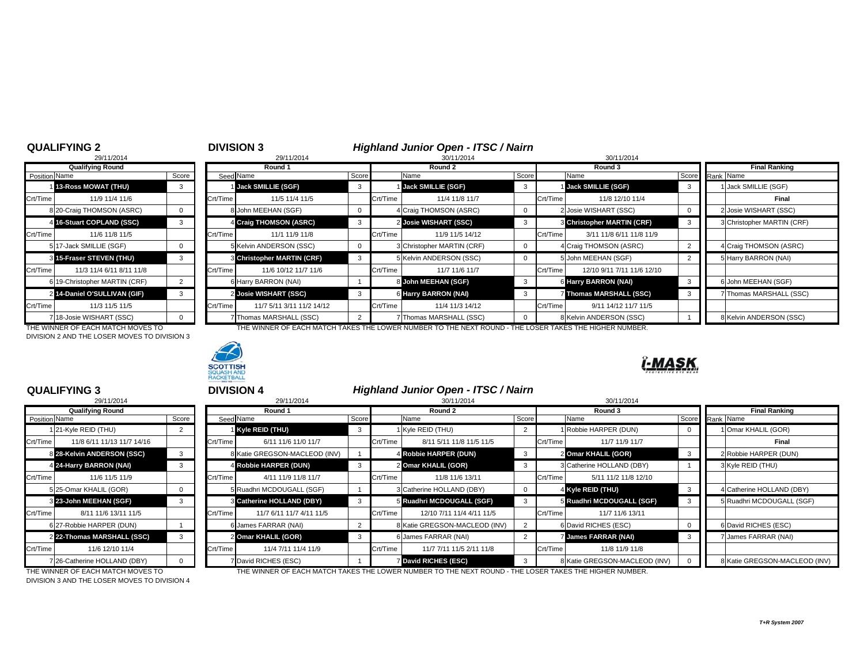# <sup>2</sup> **DIVISION 3** *Highland Junior Open - ITSC / Nairn* 8 29/11/2014 30/11/2014 30/11/2014

|                      | 29/11/2014                   |                |          |
|----------------------|------------------------------|----------------|----------|
|                      | <b>Qualifying Round</b>      |                |          |
| <b>Position Name</b> |                              | Score          | Seed     |
|                      | <b>13-Ross MOWAT (THU)</b>   | 3              |          |
| Crt/Time             | 11/9 11/4 11/6               |                | Crt/Time |
|                      | 8 20-Craig THOMSON (ASRC)    | $\Omega$       | ٤        |
| 4                    | 16-Stuart COPLAND (SSC)      | 3              |          |
| Crt/Time             | 11/6 11/8 11/5               |                | Crt/Time |
|                      | 517-Jack SMILLIE (SGF)       | $\Omega$       |          |
|                      | 3 15-Fraser STEVEN (THU)     | 3              |          |
| Crt/Time             | 11/3 11/4 6/11 8/11 11/8     |                | Crt/Time |
|                      | 619-Christopher MARTIN (CRF) | $\overline{2}$ | б        |
| $\overline{2}$       | 14-Daniel O'SULLIVAN (GIF)   | 3              |          |
| Crt/Time             | 11/3 11/5 11/5               |                | Crt/Time |
|                      | 18-Josie WISHART (SSC)       | $\Omega$       |          |

DIVISION 2 AND THE LOSER MOVES TO DIVISION 3



|               | <b>Qualifying Round</b>           |       |          | Round 1                           |            |          | Round 2                                                             |            |          | Round 3                           |  | <b>Final Ranking</b>       |
|---------------|-----------------------------------|-------|----------|-----------------------------------|------------|----------|---------------------------------------------------------------------|------------|----------|-----------------------------------|--|----------------------------|
| Position Name |                                   | Score |          | Seed Name                         | Score      |          | Name                                                                | Score      |          | Name                              |  | Score Rank Name            |
|               | 1 13-Ross MOWAT (THU)             |       |          | <b>Jack SMILLIE (SGF)</b>         | 3          |          | <b>1 Jack SMILLIE (SGF)</b>                                         |            |          | <b>Jack SMILLIE (SGF)</b>         |  | 1 Jack SMILLIE (SGF)       |
| Crt/Time      | 11/9 11/4 11/6                    |       | Crt/Time | 11/5 11/4 11/5                    |            | Crt/Time | 11/4 11/8 11/7                                                      |            | Crt/Time | 11/8 12/10 11/4                   |  | Final                      |
|               | 8 20-Craig THOMSON (ASRC)         |       |          | 8 John MEEHAN (SGF)               | $^{\rm o}$ |          | 4 Craig THOMSON (ASRC)                                              |            |          | 2 Josie WISHART (SSC)             |  | 2 Josie WISHART (SSC)      |
|               | 4 16-Stuart COPLAND (SSC)         |       |          | 4 Craig THOMSON (ASRC)            | 3          |          | 2 Josie WISHART (SSC)                                               |            |          | <b>3 Christopher MARTIN (CRF)</b> |  | 3 Christopher MARTIN (CRF) |
| Crt/Time      | 11/6 11/8 11/5                    |       | Crt/Time | 11/1 11/9 11/8                    |            | Crt/Time | 11/9 11/5 14/12                                                     |            | Crt/Time | 3/11 11/8 6/11 11/8 11/9          |  |                            |
|               | 5 17-Jack SMILLIE (SGF)           |       |          | 5 Kelvin ANDERSON (SSC)           |            |          | 3 Christopher MARTIN (CRF)                                          |            |          | 4 Craig THOMSON (ASRC)            |  | 4 Craig THOMSON (ASRC)     |
|               | 3 15-Fraser STEVEN (THU)          |       |          | <b>3 Christopher MARTIN (CRF)</b> | 3          |          | 5 Kelvin ANDERSON (SSC)                                             |            |          | 5 John MEEHAN (SGF)               |  | 5 Harry BARRON (NAI)       |
| Crt/Time      | 11/3 11/4 6/11 8/11 11/8          |       | Crt/Time | 11/6 10/12 11/7 11/6              |            | Crt/Time | 11/7 11/6 11/7                                                      |            | Crt/Time | 12/10 9/11 7/11 11/6 12/10        |  |                            |
|               | 6 19-Christopher MARTIN (CRF)     |       |          | 6 Harry BARRON (NAI)              |            |          | 8 John MEEHAN (SGF)                                                 |            |          | 6 Harry BARRON (NAI)              |  | 6 John MEEHAN (SGF)        |
|               | 2 14-Daniel O'SULLIVAN (GIF)      |       |          | 2 Josie WISHART (SSC)             | 3          |          | 6 Harry BARRON (NAI)                                                |            |          | 7 Thomas MARSHALL (SSC)           |  | 7 Thomas MARSHALL (SSC)    |
| Crt/Time      | 11/3 11/5 11/5                    |       | Crt/Time | 11/7 5/11 3/11 11/2 14/12         |            | Crt/Time | 11/4 11/3 14/12                                                     |            | Crt/Time | 9/11 14/12 11/7 11/5              |  |                            |
|               | 718-Josie WISHART (SSC)           |       |          | 7 Thomas MARSHALL (SSC)           |            |          | 7 Thomas MARSHALL (SSC)                                             |            |          | 8 Kelvin ANDERSON (SSC)           |  | 8 Kelvin ANDERSON (SSC)    |
|               | THE WINNER OF FACH MATCH MOVES TO |       |          |                                   |            |          | THE WINNER OF EACH MATCH TAKES THE LOWER NUMBER TO THE NEXT ROUND - | $THF \cup$ |          | OSER TAKES THE HIGHER NUMBER      |  |                            |

THE WINNER OF EACH MATCH MOVES TO THE WINNER OF EACH MATCH TAKES THE LOWER NUMBER TO THE NEXT ROUND - THE LOSER TAKES THE HIGHER NUMBER.



## **QUALIFYING 3**

|                      | 29/11/2014                   |                |
|----------------------|------------------------------|----------------|
|                      | <b>Qualifying Round</b>      |                |
| <b>Position Name</b> |                              | Score          |
| 1                    | 21-Kyle REID (THU)           | $\overline{2}$ |
| Crt/Time             | 11/8 6/11 11/13 11/7 14/16   |                |
|                      | 8 28-Kelvin ANDERSON (SSC)   | 3              |
|                      | 4 24-Harry BARRON (NAI)      | 3              |
| Crt/Time             | 11/6 11/5 11/9               |                |
|                      | 5 25-Omar KHALIL (GOR)       | 0              |
|                      | 3 23-John MEEHAN (SGF)       | 3              |
| Crt/Time             | 8/11 11/6 13/11 11/5         |                |
|                      | 6 27-Robbie HARPER (DUN)     |                |
|                      | 2 22-Thomas MARSHALL (SSC)   | 3              |
| Crt/Time             | 11/6 12/10 11/4              |                |
|                      | 7 26-Catherine HOLLAND (DBY) | 0              |

| <b>Highland Junior Open - ITSC / Nairn</b><br><b>QUALIFYING 3</b><br><b>DIVISION 4</b> |                              |       |          |                                  |       |          |                               |              |          |                               |              |                               |
|----------------------------------------------------------------------------------------|------------------------------|-------|----------|----------------------------------|-------|----------|-------------------------------|--------------|----------|-------------------------------|--------------|-------------------------------|
|                                                                                        | 29/11/2014                   |       |          | 29/11/2014                       |       |          | 30/11/2014                    |              |          | 30/11/2014                    |              |                               |
|                                                                                        | <b>Qualifying Round</b>      |       |          | Round 1                          |       |          | Round 2                       |              |          | Round 3                       |              | <b>Final Ranking</b>          |
| Position Name                                                                          |                              | Score |          | Seed Name                        | Score |          | Name                          | Score        |          | Name                          |              | Score Rank Name               |
|                                                                                        | 21-Kyle REID (THU)           |       |          | I Kyle REID (THU)                | -3    |          | 1 Kyle REID (THU)             |              |          | 1 Robbie HARPER (DUN)         |              | 1 Omar KHALIL (GOR)           |
| Crt/Time                                                                               | 11/8 6/11 11/13 11/7 14/16   |       | Crt/Time | 6/11 11/6 11/0 11/7              |       | Crt/Time | 8/11 5/11 11/8 11/5 11/5      |              | Crt/Time | 11/7 11/9 11/7                |              | Final                         |
|                                                                                        | 8 28-Kelvin ANDERSON (SSC)   | 3     |          | 8 Katie GREGSON-MACLEOD (INV)    |       |          | 4 Robbie HARPER (DUN)         | $\mathbf{3}$ |          | 2 Omar KHALIL (GOR)           | $\mathbf{3}$ | 2 Robbie HARPER (DUN)         |
|                                                                                        | 4 24-Harry BARRON (NAI)      |       |          | 4 Robbie HARPER (DUN)            | 3     |          | 2 Omar KHALIL (GOR)           | 3            |          | 3 Catherine HOLLAND (DBY)     |              | 3 Kyle REID (THU)             |
| Crt/Time                                                                               | 11/6 11/5 11/9               |       | Crt/Time | 4/11 11/9 11/8 11/7              |       | Crt/Time | 11/8 11/6 13/11               |              | Crt/Time | 5/11 11/2 11/8 12/10          |              |                               |
|                                                                                        | 5 25-Omar KHALIL (GOR)       |       |          | 5 Ruadhri MCDOUGALL (SGF)        |       |          | 3 Catherine HOLLAND (DBY)     | 0            |          | 4 Kyle REID (THU)             | - 3          | 4 Catherine HOLLAND (DBY)     |
|                                                                                        | 3 23-John MEEHAN (SGF)       | 3     |          | <b>S</b> Catherine HOLLAND (DBY) | 3     |          | 5 Ruadhri MCDOUGALL (SGF)     | 3            |          | 5 Ruadhri MCDOUGALL (SGF)     | $\mathbf{3}$ | 5 Ruadhri MCDOUGALL (SGF)     |
| Crt/Time                                                                               | 8/11 11/6 13/11 11/5         |       | Crt/Time | 11/7 6/11 11/7 4/11 11/5         |       | Crt/Time | 12/10 7/11 11/4 4/11 11/5     |              | Crt/Time | 11/7 11/6 13/11               |              |                               |
|                                                                                        | 6 27-Robbie HARPER (DUN)     |       |          | 6 James FARRAR (NAI)             |       |          | 8 Katie GREGSON-MACLEOD (INV) |              |          | 6 David RICHES (ESC)          | 0            | 6 David RICHES (ESC)          |
|                                                                                        | 2 22-Thomas MARSHALL (SSC)   |       |          | 2 Omar KHALIL (GOR)              | 3     |          | 6 James FARRAR (NAI)          |              |          | <b>James FARRAR (NAI)</b>     | -3           | 7 James FARRAR (NAI)          |
| Crt/Time                                                                               | 11/6 12/10 11/4              |       | Crt/Time | 11/4 7/11 11/4 11/9              |       | Crt/Time | 11/7 7/11 11/5 2/11 11/8      |              | Crt/Time | 11/8 11/9 11/8                |              |                               |
|                                                                                        | 7 26-Catherine HOLLAND (DBY) |       |          | 7 David RICHES (ESC)             |       |          | <b>David RICHES (ESC)</b>     | $\mathbf{3}$ |          | 8 Katie GREGSON-MACLEOD (INV) |              | 8 Katie GREGSON-MACLEOD (INV) |

THE WINNER OF EACH MATCH MOVES TO THE WINNER OF EACH MATCH TAKES THE LOWER NUMBER TO THE NEXT ROUND - THE LOSER TAKES THE HIGHER NUMBER.

DIVISION 3 AND THE LOSER MOVES TO DIVISION 4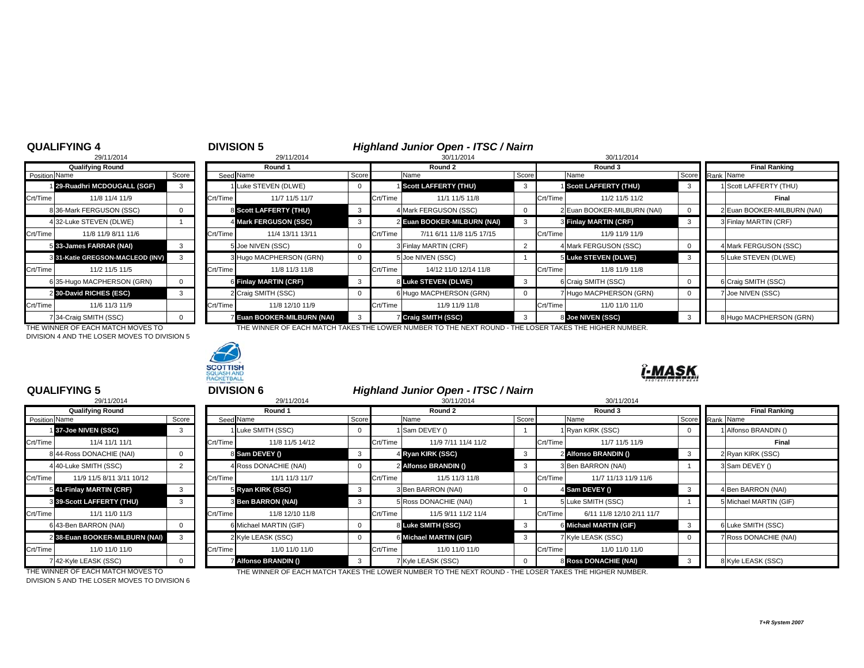# <sup>4</sup> **DIVISION 5** *Highland Junior Open - ITSC / Nairn* 8 29/11/2014 30/11/2014 30/11/2014

|                | 29/11/2014                       |          |          |
|----------------|----------------------------------|----------|----------|
|                | <b>Qualifying Round</b>          |          |          |
| Position Name  |                                  | Score    | Seec     |
|                | 129-Ruadhri MCDOUGALL (SGF)      | 3        |          |
| Crt/Time       | 11/8 11/4 11/9                   |          | Crt/Time |
|                | 8 36-Mark FERGUSON (SSC)         | 0        |          |
|                | 4 32-Luke STEVEN (DLWE)          |          |          |
| Crt/Time       | 11/8 11/9 8/11 11/6              |          | Crt/Time |
|                | 5 33-James FARRAR (NAI)          | 3        |          |
|                | 3 31-Katie GREGSON-MACLEOD (INV) | 3        |          |
| Crt/Time       | 11/2 11/5 11/5                   |          | Crt/Time |
|                | 635-Hugo MACPHERSON (GRN)        | 0        |          |
| $\overline{2}$ | 30-David RICHES (ESC)            | 3        |          |
| Crt/Time       | 11/6 11/3 11/9                   |          | Crt/Time |
|                | 34-Craig SMITH (SSC)             | $\Omega$ |          |

DIVISION 4 AND THE LOSER MOVES TO DIVISION 5



| <b>Qualifying Round</b>                  | Round 1                      |              |          | Round 2                     |       | Round 3                     |       | <b>Final Ranking</b>        |
|------------------------------------------|------------------------------|--------------|----------|-----------------------------|-------|-----------------------------|-------|-----------------------------|
| Score<br>Name                            | Seed Name                    | Score        |          | Name                        | Score | Name                        | Score | Rank Name                   |
| 29-Ruadhri MCDOUGALL (SGF)<br>3          | 1 Luke STEVEN (DLWE)         |              |          | Scott LAFFERTY (THU)        |       | Scott LAFFERTY (THU)        |       | 1 Scott LAFFERTY (THU)      |
| 11/8 11/4 11/9                           | Crt/Time<br>11/7 11/5 11/7   |              | Crt/Time | 11/1 11/5 11/8              |       | Crt/Time<br>11/2 11/5 11/2  |       | Final                       |
| 36-Mark FERGUSON (SSC)<br>0              | 8 Scott LAFFERTY (THU)       | -3           |          | 4 Mark FERGUSON (SSC)       |       | 2 Euan BOOKER-MILBURN (NAI) |       | 2 Euan BOOKER-MILBURN (NAI) |
| 432-Luke STEVEN (DLWE)                   | 4 Mark FERGUSON (SSC)        |              |          | 2 Euan BOOKER-MILBURN (NAI) |       | 3 Finlay MARTIN (CRF)       |       | 3 Finlay MARTIN (CRF)       |
| 11/8 11/9 8/11 11/6                      | Crt/Time<br>11/4 13/11 13/11 |              | Crt/Time | 7/11 6/11 11/8 11/5 17/15   |       | Crt/Time<br>11/9 11/9 11/9  |       |                             |
| 33-James FARRAR (NAI)<br>3               | 5 Joe NIVEN (SSC)            | v            |          | 3 Finlay MARTIN (CRF)       |       | 4 Mark FERGUSON (SSC)       |       | 4 Mark FERGUSON (SSC)       |
| 31-Katie GREGSON-MACLEOD (INV)<br>3      | 3 Hugo MACPHERSON (GRN)      | v            |          | 5 Joe NIVEN (SSC)           |       | 5 Luke STEVEN (DLWE)        | -3    | 5 Luke STEVEN (DLWE)        |
| 11/2 11/5 11/5                           | Crt/Time<br>11/8 11/3 11/8   |              | Crt/Time | 14/12 11/0 12/14 11/8       |       | Crt/Time<br>11/8 11/9 11/8  |       |                             |
| 35-Hugo MACPHERSON (GRN)<br>$\mathbf{0}$ | 6 Finlay MARTIN (CRF)        | -3           |          | 8 Luke STEVEN (DLWE)        |       | 6 Craig SMITH (SSC)         |       | 6 Craig SMITH (SSC)         |
| 30-David RICHES (ESC)<br>3               | 2 Craig SMITH (SSC)          |              |          | 6 Hugo MACPHERSON (GRN)     |       | 7 Hugo MACPHERSON (GRN)     |       | 7 Joe NIVEN (SSC)           |
| 11/6 11/3 11/9                           | Crt/Time<br>11/8 12/10 11/9  |              | Crt/Time | 11/9 11/9 11/8              |       | Crt/Time<br>11/0 11/0 11/0  |       |                             |
| ' 34-Craig SMITH (SSC)                   | 7 Euan BOOKER-MILBURN (NAI)  | $\mathbf{3}$ |          | 7 Craig SMITH (SSC)         |       | 8 Joe NIVEN (SSC)           |       | 8 Hugo MACPHERSON (GRN)     |

THE WINNER OF EACH MATCH MOVES TO THE WINNER OF EACH MATCH TAKES THE LOWER NUMBER TO THE NEXT ROUND - THE LOSER TAKES THE HIGHER NUMBER.



# I-MAS

## **QUALIFYING 5**

|                      | 29/11/2014                       |                |          |
|----------------------|----------------------------------|----------------|----------|
|                      | <b>Qualifying Round</b>          |                |          |
| <b>Position Name</b> |                                  | Score          | Seed     |
|                      | 137-Joe NIVEN (SSC)              | 3              |          |
| Crt/Time             | 11/4 11/1 11/1                   |                | Crt/Time |
|                      | 8 44-Ross DONACHIE (NAI)         | $\Omega$       |          |
|                      | 4 40-Luke SMITH (SSC)            | $\overline{2}$ |          |
| Crt/Time             | 11/9 11/5 8/11 3/11 10/12        |                | Crt/Time |
|                      | 541-Finlay MARTIN (CRF)          | 3              |          |
|                      | <b>3 39-Scott LAFFERTY (THU)</b> | 3              |          |
| Crt/Time             | 11/1 11/0 11/3                   |                | Crt/Time |
|                      | 6 43-Ben BARRON (NAI)            | $\Omega$       |          |
|                      | 238-Euan BOOKER-MILBURN (NAI)    | 3              |          |
| Crt/Time             | 11/0 11/0 11/0                   |                | Crt/Time |
|                      | 42-Kyle LEASK (SSC)              | 0              |          |

|                      | <b>QUALIFYING 5</b>              |          |          | <b>DIVISION 6</b>           |              |          | Highland Junior Open - ITSC / Nairn |          |          |                              |  |                            |
|----------------------|----------------------------------|----------|----------|-----------------------------|--------------|----------|-------------------------------------|----------|----------|------------------------------|--|----------------------------|
|                      | 29/11/2014                       |          |          | 29/11/2014                  |              |          | 30/11/2014                          |          |          | 30/11/2014                   |  |                            |
|                      | <b>Qualifying Round</b>          |          |          | Round 1                     |              |          | Round 2                             |          |          | Round 3                      |  | <b>Final Ranking</b>       |
| Position Name        |                                  | Score    |          | Seed Name                   | Score        |          | Name                                | Score    |          | Name                         |  | Score Rank Name            |
|                      | 137-Joe NIVEN (SSC)              |          |          | Luke SMITH (SSC)            | $^{\circ}$   |          | Sam DEVEY ()                        |          |          | 1 Ryan KIRK (SSC)            |  | 1 Alfonso BRANDIN ()       |
| Crt/Time <sup></sup> | 11/4 11/1 11/1                   |          | Crt/Time | 11/8 11/5 14/12             |              | Crt/Time | 11/9 7/11 11/4 11/2                 |          | Crt/Time | 11/7 11/5 11/9               |  | Final                      |
|                      | 8 44-Ross DONACHIE (NAI)         |          |          | 8 Sam DEVEY ()              | 3            |          | 4 Ryan KIRK (SSC)                   | -3       |          | 2 Alfonso BRANDIN ()         |  | 2 Ryan KIRK (SSC)          |
|                      | 440-Luke SMITH (SSC)             |          |          | 4 Ross DONACHIE (NAI)       | $\mathbf{0}$ |          | 2 Alfonso BRANDIN ()                |          |          | 3 Ben BARRON (NAI)           |  | 3 Sam DEVEY ()             |
| Crt/Time             | 11/9 11/5 8/11 3/11 10/12        |          | Crt/Time | 11/1 11/3 11/7              |              | Crt/Time | 11/5 11/3 11/8                      |          | Crt/Time | 11/7 11/13 11/9 11/6         |  |                            |
|                      | 5 41-Finlay MARTIN (CRF)         | 3        |          | 5 Ryan KIRK (SSC)           | $\mathbf{3}$ |          | 3 Ben BARRON (NAI)                  |          |          | 4 Sam DEVEY ()               |  | 4 Ben BARRON (NAI)         |
|                      | <b>8 39-Scott LAFFERTY (THU)</b> | 3        |          | <b>3 Ben BARRON (NAI)</b>   | 3            |          | 5 Ross DONACHIE (NAI)               |          |          | 5 Luke SMITH (SSC)           |  | 5 Michael MARTIN (GIF)     |
| Crt/Time             | 11/1 11/0 11/3                   |          | Crt/Time | 11/8 12/10 11/8             |              | Crt/Time | 11/5 9/11 11/2 11/4                 |          | Crt/Time | 6/11 11/8 12/10 2/11 11/7    |  |                            |
|                      | 6 43-Ben BARRON (NAI)            | $\Omega$ |          | 6 Michael MARTIN (GIF)      | $\mathbf{0}$ |          | 8 Luke SMITH (SSC)                  | $_{3}$   |          | 6 Michael MARTIN (GIF)       |  | 6 Luke SMITH (SSC)         |
|                      | 2 38-Euan BOOKER-MILBURN (NAI)   |          |          | 2 Kyle LEASK (SSC)          | $\mathbf{0}$ |          | 6 Michael MARTIN (GIF)              |          |          | 7 Kyle LEASK (SSC)           |  | <b>Ross DONACHIE (NAI)</b> |
| Crt/Time             | 11/0 11/0 11/0                   |          | Crt/Time | 11/0 11/0 11/0              |              | Crt/Time | 11/0 11/0 11/0                      |          | Crt/Time | 11/0 11/0 11/0               |  |                            |
|                      | 7 42-Kyle LEASK (SSC)            | $\Omega$ |          | <b>7 Alfonso BRANDIN ()</b> | -3           |          | 7 Kyle LEASK (SSC)                  | $\Omega$ |          | <b>8 Ross DONACHIE (NAI)</b> |  | 8 Kyle LEASK (SSC)         |

THE WINNER OF EACH MATCH MOVES TO THE WINNER OF EACH MATCH TAKES THE LOWER NUMBER TO THE NEXT ROUND - THE LOSER TAKES THE HIGHER NUMBER.

DIVISION 5 AND THE LOSER MOVES TO DIVISION 6

*T+R System 2007*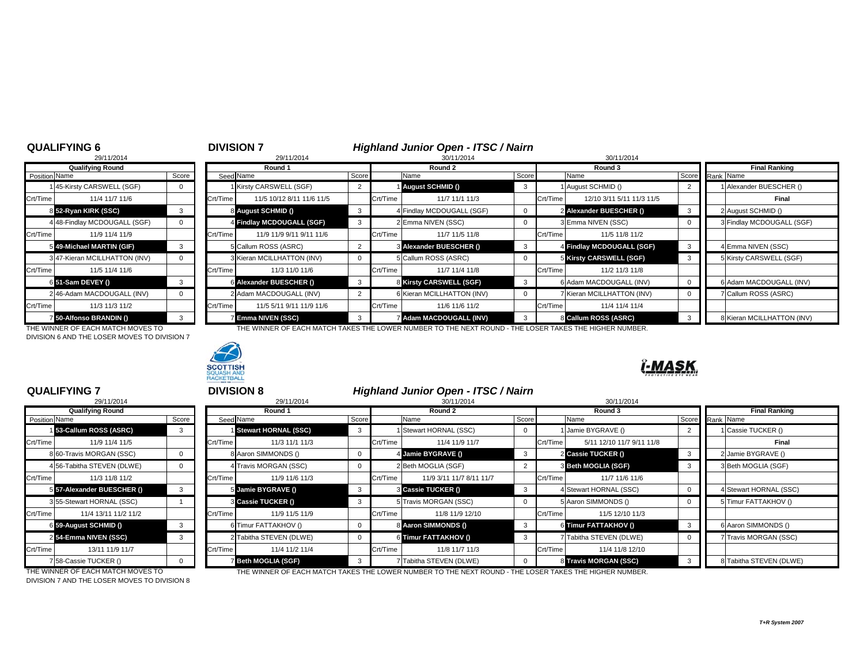# <sup>6</sup> **DIVISION 7** *Highland Junior Open - ITSC / Nairn* 8 29/11/2014 30/11/2014 30/11/2014

|               | 29/11/2014                   |          |          |
|---------------|------------------------------|----------|----------|
|               | <b>Qualifying Round</b>      |          |          |
| Position Name |                              | Score    | Seed     |
|               | 145-Kirsty CARSWELL (SGF)    | 0        |          |
| Crt/Time      | 11/4 11/7 11/6               |          | Crt/Time |
|               | 8 52-Ryan KIRK (SSC)         | 3        |          |
|               | 4 48-Findlay MCDOUGALL (SGF) | 0        |          |
| Crt/Time      | 11/9 11/4 11/9               |          | Crt/Time |
|               | 5 49-Michael MARTIN (GIF)    | 3        |          |
|               | 347-Kieran MCILLHATTON (INV) | $\Omega$ |          |
| Crt/Time      | 11/5 11/4 11/6               |          | Crt/Time |
|               | 6 51-Sam DEVEY ()            | 3        |          |
|               | 2 46-Adam MACDOUGALL (INV)   | 0        |          |
| Crt/Time      | 11/3 11/3 11/2               |          | Crt/Time |
|               | 7 50-Alfonso BRANDIN ()      | 3        |          |

DIVISION 6 AND THE LOSER MOVES TO DIVISION 7



| <b>Qualifying Round</b> |                                  |              |          | Round 1                                                                                              |       |          | Round 2                    |       |          | Round 3                    |                 |  | <b>Final Ranking</b>       |  |
|-------------------------|----------------------------------|--------------|----------|------------------------------------------------------------------------------------------------------|-------|----------|----------------------------|-------|----------|----------------------------|-----------------|--|----------------------------|--|
| Position Name           |                                  | Score        |          | Seed Name                                                                                            | Score |          | Name                       | Score |          | Name                       | Score Rank Name |  |                            |  |
|                         | 45-Kirsty CARSWELL (SGF)         | $\mathbf{0}$ |          | 1 Kirsty CARSWELL (SGF)                                                                              |       |          | 1 August SCHMID ()         |       |          | 1 August SCHMID ()         |                 |  | Alexander BUESCHER ()      |  |
| Crt/Time                | 11/4 11/7 11/6                   |              | Crt/Time | 11/5 10/12 8/11 11/6 11/5                                                                            |       | Crt/Time | 11/7 11/1 11/3             |       | Crt/Time | 12/10 3/11 5/11 11/3 11/5  |                 |  | Final                      |  |
|                         | 8 52-Ryan KIRK (SSC)             |              |          | 8 August SCHMID ()                                                                                   |       |          | 4 Findlay MCDOUGALL (SGF)  |       |          | 2 Alexander BUESCHER ()    |                 |  | 2 August SCHMID ()         |  |
|                         | 448-Findlay MCDOUGALL (SGF)      | $\mathbf{0}$ |          | 4 Findlay MCDOUGALL (SGF)                                                                            |       |          | 2 Emma NIVEN (SSC)         |       |          | 3 Emma NIVEN (SSC)         |                 |  | 3 Findlay MCDOUGALL (SGF)  |  |
| Crt/Time                | 11/9 11/4 11/9                   |              | Crt/Time | 11/9 11/9 9/11 9/11 11/6                                                                             |       | Crt/Time | 11/7 11/5 11/8             |       | Crt/Time | 11/5 11/8 11/2             |                 |  |                            |  |
|                         | 5 49-Michael MARTIN (GIF)        |              |          | 5 Callum ROSS (ASRC)                                                                                 |       |          | 3 Alexander BUESCHER ()    | - 3   |          | 4 Findlay MCDOUGALL (SGF)  |                 |  | <b>I Emma NIVEN (SSC)</b>  |  |
|                         | 347-Kieran MCILLHATTON (INV)     | $\mathbf 0$  |          | 3 Kieran MCILLHATTON (INV)                                                                           | 0     |          | 5 Callum ROSS (ASRC)       |       |          | 5 Kirsty CARSWELL (SGF)    |                 |  | 5 Kirsty CARSWELL (SGF)    |  |
| Crt/Time                | 11/5 11/4 11/6                   |              | Crt/Time | 11/3 11/0 11/6                                                                                       |       | Crt/Time | 11/7 11/4 11/8             |       | Crt/Time | 11/2 11/3 11/8             |                 |  |                            |  |
|                         | 6 51-Sam DEVEY ()                |              |          | 6 Alexander BUESCHER ()                                                                              | 3     |          | 8 Kirsty CARSWELL (SGF)    |       |          | 6 Adam MACDOUGALL (INV)    |                 |  | 6 Adam MACDOUGALL (INV)    |  |
|                         | 246-Adam MACDOUGALL (INV)        | $\Omega$     |          | 2 Adam MACDOUGALL (INV)                                                                              |       |          | 6 Kieran MCILLHATTON (INV) |       |          | 7 Kieran MCILLHATTON (INV) |                 |  | Callum ROSS (ASRC)         |  |
|                         | 11/3 11/3 11/2                   |              | Crt/Time | 11/5 5/11 9/11 11/9 11/6                                                                             |       | Crt/Time | 11/6 11/6 11/2             |       | Crt/Time | 11/4 11/4 11/4             |                 |  |                            |  |
|                         | 7 50-Alfonso BRANDIN ()          |              |          | <b>Z Emma NIVEN (SSC)</b>                                                                            |       |          | 7 Adam MACDOUGALL (INV)    |       |          | 8 Callum ROSS (ASRC)       |                 |  | 8 Kieran MCILLHATTON (INV) |  |
| Crt/Time                | TUE WINNER OF FACU MATCUMOVER TO |              |          | THE WINNER OF EACH MATCH TAKES THE LOWER NUMBER TO THE NEVT ROUND. THE LOSER TAKES THE HIGHER NUMBER |       |          |                            |       |          |                            |                 |  |                            |  |

THE WINNER OF EACH MATCH MOVES TO THE WINNER OF EACH MATCH TAKES THE LOWER NUMBER TO THE NEXT ROUND - THE LOSER TAKES THE HIGHER NUMBER.

#### **QUALIFYING 7**

|                      | 29/11/2014                 |          |
|----------------------|----------------------------|----------|
|                      | <b>Qualifying Round</b>    |          |
| <b>Position Name</b> |                            | Score    |
|                      | 153-Callum ROSS (ASRC)     | 3        |
| Crt/Time             | 11/9 11/4 11/5             |          |
|                      | 8 60-Travis MORGAN (SSC)   | 0        |
|                      | 4 56-Tabitha STEVEN (DLWE) | $\Omega$ |
| Crt/Time             | 11/3 11/8 11/2             |          |
|                      | 5 57-Alexander BUESCHER () | 3        |
|                      | 3 55-Stewart HORNAL (SSC)  | 1        |
| Crt/Time             | 11/4 13/11 11/2 11/2       |          |
|                      | 6 59-August SCHMID ()      | 3        |
|                      | 254-Emma NIVEN (SSC)       | 3        |
| Crt/Time             | 13/11 11/9 11/7            |          |
|                      | 7 58-Cassie TUCKER ()      | 0        |

 <sup>7</sup> **DIVISION 8** *Highland Junior Open - ITSC / Nairn* 8 29/11/2014 30/11/2014 30/11/2014 **Qualifying Round Round 1 Round 2 Round 3 Final Ranking** Name Score Seed Name Score Name Score Name Score Rank Name **Stewart HORNAL (SSC)** 3 1 Stewart HORNAL (SSC) 0 1 Jamie BYGRAVE () 2 1 Cassie TUCKER () Crt/Time 11/3 11/1 11/3 Crt/Time 11/4 11/9 11/7 Crt/Time 5/11 12/10 11/7 9/11 11/8 **Final** 8 60-Travis MORGAN (SSC) | 0 | | 8 Aaron SIMMONDS () | 0 | 4 **Jamie BYGRAVE () 3 | 2 2 Cassie TUCKER ()** 3 | 2 Jamie BYGRAVE () 4 56-Tabitha STEVEN (DLWE) 0 4 Travis MORGAN (SSC) 0 2 Beth MOGLIA (SGF) 2 3 **Beth MOGLIA (SGF)** 3 3 Beth MOGLIA (SGF) crt/Time 11/9 11/6 11/3 Crt/Time 11/9 11/6 11/6 11/6 11/6 11/6 11/3 **57-Alexander BUESCHER ()** 3 5 **Jamie BYGRAVE ()** 3 3 **Cassie TUCKER ()** 3 4 Stewart HORNAL (SSC) 0 4 Stewart HORNAL (SSC) 3 **Cassie TUCKER ()** 3 3 5 Travis MORGAN (SSC) 0 3 5 Aaron SIMMONDS () 0 5 Timur FATTAKHOV () Crt/Time 11/4 13/11 11/2 11/2 I LCrt/Time 1 11/9 11/5 11/9 I LCrt/Time 1 11/8 11/9 12/10 11/3 12/10 11/3 12/10 11/5 12/10 11/3 **5 59-August SCHMID () 3 6 |**Timur FATTAKHOV () 8 **Aaron SIMMONDS () 3 6 |Timur FATTAKHOV () 3 6 |Aaron SIMMONDS () 54-Email AIR COLORENT CONTROVER COLORENT OF CONTROL AND ATTACKHOV ()** 3 7 Tabitha STEVEN (DLWE) 0 7 Travis MORGAN (SSC) Crt/Time 11/4 11/2 11/4 **Crt/Time 11/8 11/7 11/3** Crt/Time 11/4 11/8 12/10 7 58-Cassie TUCKER () 0 7 **Beth MOGLIA (SGF)** 3 7 Tabitha STEVEN (DLWE) 0 8 **Travis MORGAN (SSC)** 3 8 Tabitha STEVEN (DLWE)

DIVISION 7 AND THE LOSER MOVES TO DIVISION 8

THE WINNER OF EACH MATCH MOVES TO THE WINNER OF EACH MATCH TAKES THE LOWER NUMBER TO THE NEXT ROUND - THE LOSER TAKES THE HIGHER NUMBER.